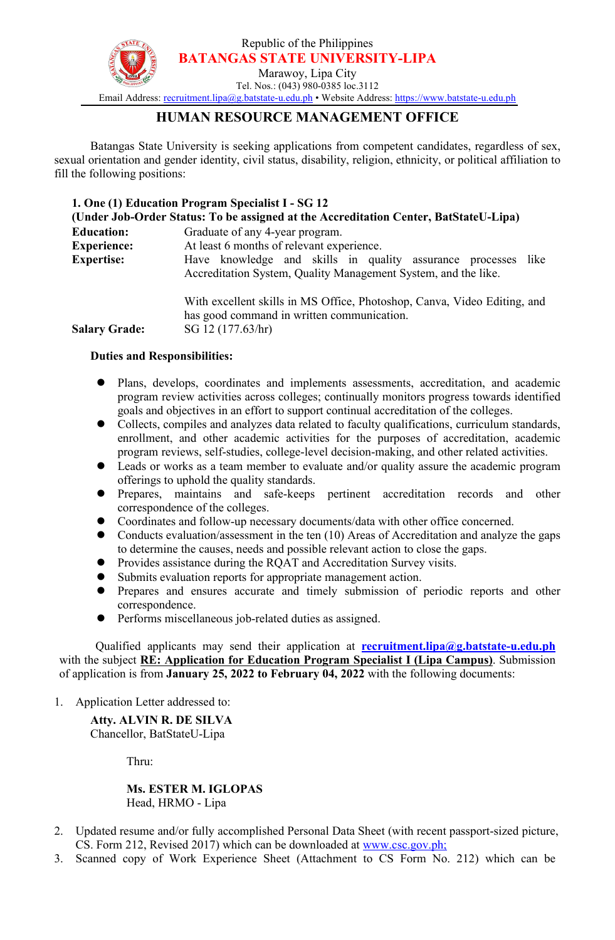Republic of the Philippines **BATANGAS STATE UNIVERSITY-LIPA**



Marawoy, Lipa City Tel. Nos.: (043) 980-0385 loc.3112

Email Address: [recruitment.lipa@g.batstate-u.edu.ph](mailto:recruitment.lipa@g.batstate-u.edu.ph) • Website Address: [https://www.batstate-u.edu.ph](http://www.batstate-u.edu.ph)

## **HUMAN RESOURCE MANAGEMENT OFFICE**

Batangas State University is seeking applications from competent candidates, regardless of sex, sexual orientation and gender identity, civil status, disability, religion, ethnicity, or political affiliation to fill the following positions:

| 1. One (1) Education Program Specialist I - SG 12                                    |                                                                                                                                 |
|--------------------------------------------------------------------------------------|---------------------------------------------------------------------------------------------------------------------------------|
| (Under Job-Order Status: To be assigned at the Accreditation Center, BatStateU-Lipa) |                                                                                                                                 |
| <b>Education:</b>                                                                    | Graduate of any 4-year program.                                                                                                 |
| <b>Experience:</b>                                                                   | At least 6 months of relevant experience.                                                                                       |
| <b>Expertise:</b>                                                                    | Have knowledge and skills in quality assurance processes like<br>Accreditation System, Quality Management System, and the like. |
|                                                                                      | With excellent skills in MS Office, Photoshop, Canva, Video Editing, and<br>has good command in written communication.          |
| <b>Salary Grade:</b>                                                                 | SG 12 (177.63/hr)                                                                                                               |

## **Duties and Responsibilities:**

- Plans, develops, coordinates and implements assessments, accreditation, and academic program review activities across colleges; continually monitors progress towards identified goals and objectives in an effort to support continual accreditation of the colleges.
- Collects, compiles and analyzes data related to faculty qualifications, curriculum standards, enrollment, and other academic activities for the purposes of accreditation, academic program reviews, self-studies, college-level decision-making, and other related activities.
- Leads or works as a team member to evaluate and/or quality assure the academic program offerings to uphold the quality standards.
- Prepares, maintains and safe-keeps pertinent accreditation records and other correspondence of the colleges.
- Coordinates and follow-up necessary documents/data with other office concerned.
- Conducts evaluation/assessment in the ten (10) Areas of Accreditation and analyze the gaps to determine the causes, needs and possible relevant action to close the gaps.
- Provides assistance during the RQAT and Accreditation Survey visits.
- Submits evaluation reports for appropriate management action.
- Prepares and ensures accurate and timely submission of periodic reports and other correspondence.
- Performs miscellaneous job-related duties as assigned.

Qualified applicants may send their application at **[recruitment.lipa@g.batstate-u.edu.ph](mailto:recruitment.lipa@g.batstate-u.edu.ph)** with the subject **RE: Application for Education Program Specialist I (Lipa Campus)**. Submission of application is from **January 25, 2022 to February 04, 2022** with the following documents:

1. Application Letter addressed to:

**Atty. ALVIN R. DE SILVA** Chancellor, BatStateU-Lipa

Thru:

**Ms. ESTER M. IGLOPAS** Head, HRMO - Lipa

- 2. Updated resume and/or fully accomplished Personal Data Sheet (with recent passport-sized picture, CS. Form 212, Revised 2017) which can be downloaded at [www.csc.gov.ph;](http://www.csc.gov.ph;)
- 3. Scanned copy of Work Experience Sheet (Attachment to CS Form No. 212) which can be